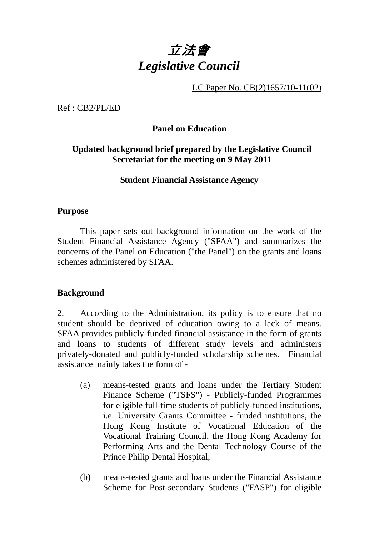# 立法會 *Legislative Council*

LC Paper No. CB(2)1657/10-11(02)

Ref : CB2/PL/ED

# **Panel on Education**

## **Updated background brief prepared by the Legislative Council Secretariat for the meeting on 9 May 2011**

#### **Student Financial Assistance Agency**

#### **Purpose**

This paper sets out background information on the work of the Student Financial Assistance Agency ("SFAA") and summarizes the concerns of the Panel on Education ("the Panel") on the grants and loans schemes administered by SFAA.

# **Background**

2. According to the Administration, its policy is to ensure that no student should be deprived of education owing to a lack of means. SFAA provides publicly-funded financial assistance in the form of grants and loans to students of different study levels and administers privately-donated and publicly-funded scholarship schemes. Financial assistance mainly takes the form of -

- (a) means-tested grants and loans under the Tertiary Student Finance Scheme ("TSFS") - Publicly-funded Programmes for eligible full-time students of publicly-funded institutions, i.e. University Grants Committee - funded institutions, the Hong Kong Institute of Vocational Education of the Vocational Training Council, the Hong Kong Academy for Performing Arts and the Dental Technology Course of the Prince Philip Dental Hospital;
- (b) means-tested grants and loans under the Financial Assistance Scheme for Post-secondary Students ("FASP") for eligible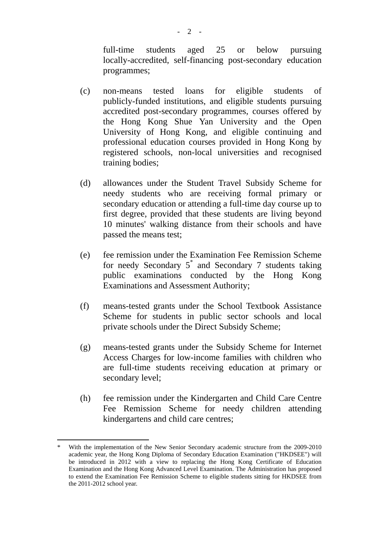full-time students aged 25 or below pursuing locally-accredited, self-financing post-secondary education programmes;

- (c) non-means tested loans for eligible students of publicly-funded institutions, and eligible students pursuing accredited post-secondary programmes, courses offered by the Hong Kong Shue Yan University and the Open University of Hong Kong, and eligible continuing and professional education courses provided in Hong Kong by registered schools, non-local universities and recognised training bodies;
- (d) allowances under the Student Travel Subsidy Scheme for needy students who are receiving formal primary or secondary education or attending a full-time day course up to first degree, provided that these students are living beyond 10 minutes' walking distance from their schools and have passed the means test;
- (e) fee remission under the Examination Fee Remission Scheme for needy Secondary  $5^*$  and Secondary 7 students taking public examinations conducted by the Hong Kong Examinations and Assessment Authority;
- (f) means-tested grants under the School Textbook Assistance Scheme for students in public sector schools and local private schools under the Direct Subsidy Scheme;
- (g) means-tested grants under the Subsidy Scheme for Internet Access Charges for low-income families with children who are full-time students receiving education at primary or secondary level;
- (h) fee remission under the Kindergarten and Child Care Centre Fee Remission Scheme for needy children attending kindergartens and child care centres;

<u>.</u>

With the implementation of the New Senior Secondary academic structure from the 2009-2010 academic year, the Hong Kong Diploma of Secondary Education Examination ("HKDSEE") will be introduced in 2012 with a view to replacing the Hong Kong Certificate of Education Examination and the Hong Kong Advanced Level Examination. The Administration has proposed to extend the Examination Fee Remission Scheme to eligible students sitting for HKDSEE from the 2011-2012 school year.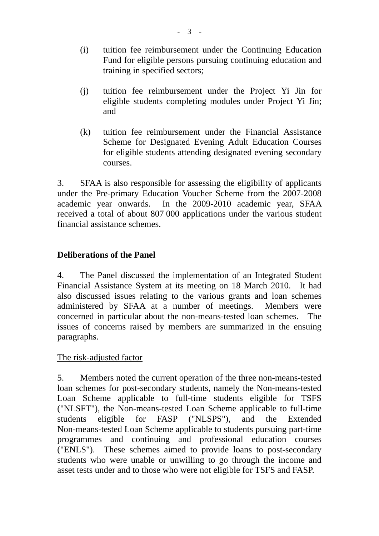- (i) tuition fee reimbursement under the Continuing Education Fund for eligible persons pursuing continuing education and training in specified sectors;
- (j) tuition fee reimbursement under the Project Yi Jin for eligible students completing modules under Project Yi Jin; and
- (k) tuition fee reimbursement under the Financial Assistance Scheme for Designated Evening Adult Education Courses for eligible students attending designated evening secondary courses.

3. SFAA is also responsible for assessing the eligibility of applicants under the Pre-primary Education Voucher Scheme from the 2007-2008 academic year onwards. In the 2009-2010 academic year, SFAA received a total of about 807 000 applications under the various student financial assistance schemes.

## **Deliberations of the Panel**

4. The Panel discussed the implementation of an Integrated Student Financial Assistance System at its meeting on 18 March 2010. It had also discussed issues relating to the various grants and loan schemes administered by SFAA at a number of meetings. Members were concerned in particular about the non-means-tested loan schemes. The issues of concerns raised by members are summarized in the ensuing paragraphs.

The risk-adjusted factor

5. Members noted the current operation of the three non-means-tested loan schemes for post-secondary students, namely the Non-means-tested Loan Scheme applicable to full-time students eligible for TSFS ("NLSFT"), the Non-means-tested Loan Scheme applicable to full-time students eligible for FASP ("NLSPS"), and the Extended Non-means-tested Loan Scheme applicable to students pursuing part-time programmes and continuing and professional education courses ("ENLS"). These schemes aimed to provide loans to post-secondary students who were unable or unwilling to go through the income and asset tests under and to those who were not eligible for TSFS and FASP.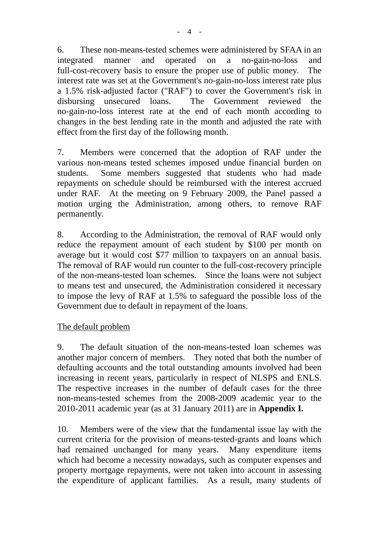6. These non-means-tested schemes were administered by SFAA in an integrated manner and operated on a no-gain-no-loss and full-cost-recovery basis to ensure the proper use of public money. The interest rate was set at the Government's no-gain-no-loss interest rate plus a 1.5% risk-adjusted factor ("RAF") to cover the Government's risk in disbursing unsecured loans. The Government reviewed the no-gain-no-loss interest rate at the end of each month according to changes in the best lending rate in the month and adjusted the rate with effect from the first day of the following month.

7. Members were concerned that the adoption of RAF under the various non-means tested schemes imposed undue financial burden on students. Some members suggested that students who had made repayments on schedule should be reimbursed with the interest accrued under RAF. At the meeting on 9 February 2009, the Panel passed a motion urging the Administration, among others, to remove RAF permanently.

8. According to the Administration, the removal of RAF would only reduce the repayment amount of each student by \$100 per month on average but it would cost \$77 million to taxpayers on an annual basis. The removal of RAF would run counter to the full-cost-recovery principle of the non-means-tested loan schemes. Since the loans were not subject to means test and unsecured, the Administration considered it necessary to impose the levy of RAF at 1.5% to safeguard the possible loss of the Government due to default in repayment of the loans.

#### The default problem

9. The default situation of the non-means-tested loan schemes was another major concern of members. They noted that both the number of defaulting accounts and the total outstanding amounts involved had been increasing in recent years, particularly in respect of NLSPS and ENLS. The respective increases in the number of default cases for the three non-means-tested schemes from the 2008-2009 academic year to the 2010-2011 academic year (as at 31 January 2011) are in **Appendix I.**

10. Members were of the view that the fundamental issue lay with the current criteria for the provision of means-tested-grants and loans which had remained unchanged for many years. Many expenditure items which had become a necessity nowadays, such as computer expenses and property mortgage repayments, were not taken into account in assessing the expenditure of applicant families. As a result, many students of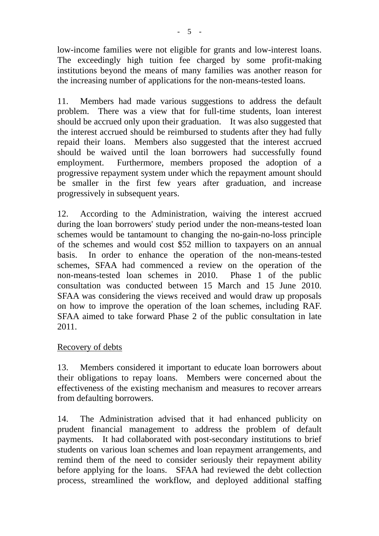low-income families were not eligible for grants and low-interest loans. The exceedingly high tuition fee charged by some profit-making institutions beyond the means of many families was another reason for the increasing number of applications for the non-means-tested loans.

11. Members had made various suggestions to address the default problem. There was a view that for full-time students, loan interest should be accrued only upon their graduation. It was also suggested that the interest accrued should be reimbursed to students after they had fully repaid their loans. Members also suggested that the interest accrued should be waived until the loan borrowers had successfully found employment. Furthermore, members proposed the adoption of a progressive repayment system under which the repayment amount should be smaller in the first few years after graduation, and increase progressively in subsequent years.

12. According to the Administration, waiving the interest accrued during the loan borrowers' study period under the non-means-tested loan schemes would be tantamount to changing the no-gain-no-loss principle of the schemes and would cost \$52 million to taxpayers on an annual basis. In order to enhance the operation of the non-means-tested schemes, SFAA had commenced a review on the operation of the non-means-tested loan schemes in 2010. Phase 1 of the public consultation was conducted between 15 March and 15 June 2010. SFAA was considering the views received and would draw up proposals on how to improve the operation of the loan schemes, including RAF. SFAA aimed to take forward Phase 2 of the public consultation in late 2011.

#### Recovery of debts

13. Members considered it important to educate loan borrowers about their obligations to repay loans. Members were concerned about the effectiveness of the existing mechanism and measures to recover arrears from defaulting borrowers.

14. The Administration advised that it had enhanced publicity on prudent financial management to address the problem of default payments. It had collaborated with post-secondary institutions to brief students on various loan schemes and loan repayment arrangements, and remind them of the need to consider seriously their repayment ability before applying for the loans. SFAA had reviewed the debt collection process, streamlined the workflow, and deployed additional staffing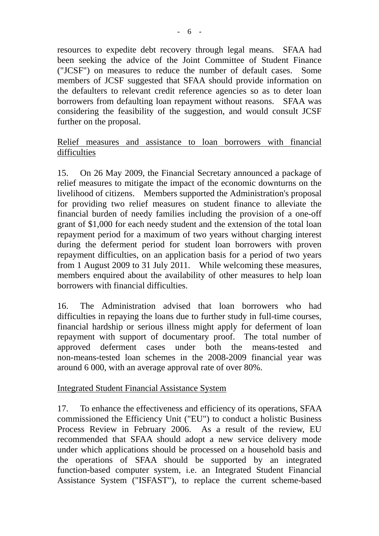resources to expedite debt recovery through legal means. SFAA had been seeking the advice of the Joint Committee of Student Finance ("JCSF") on measures to reduce the number of default cases. Some members of JCSF suggested that SFAA should provide information on the defaulters to relevant credit reference agencies so as to deter loan borrowers from defaulting loan repayment without reasons. SFAA was considering the feasibility of the suggestion, and would consult JCSF further on the proposal.

#### Relief measures and assistance to loan borrowers with financial difficulties

15. On 26 May 2009, the Financial Secretary announced a package of relief measures to mitigate the impact of the economic downturns on the livelihood of citizens. Members supported the Administration's proposal for providing two relief measures on student finance to alleviate the financial burden of needy families including the provision of a one-off grant of \$1,000 for each needy student and the extension of the total loan repayment period for a maximum of two years without charging interest during the deferment period for student loan borrowers with proven repayment difficulties, on an application basis for a period of two years from 1 August 2009 to 31 July 2011. While welcoming these measures, members enquired about the availability of other measures to help loan borrowers with financial difficulties.

16. The Administration advised that loan borrowers who had difficulties in repaying the loans due to further study in full-time courses, financial hardship or serious illness might apply for deferment of loan repayment with support of documentary proof. The total number of approved deferment cases under both the means-tested and non-means-tested loan schemes in the 2008-2009 financial year was around 6 000, with an average approval rate of over 80%.

#### Integrated Student Financial Assistance System

17. To enhance the effectiveness and efficiency of its operations, SFAA commissioned the Efficiency Unit ("EU") to conduct a holistic Business Process Review in February 2006. As a result of the review, EU recommended that SFAA should adopt a new service delivery mode under which applications should be processed on a household basis and the operations of SFAA should be supported by an integrated function-based computer system, i.e. an Integrated Student Financial Assistance System ("ISFAST"), to replace the current scheme-based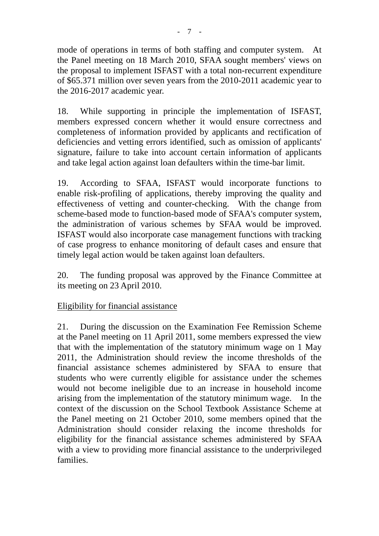mode of operations in terms of both staffing and computer system. At the Panel meeting on 18 March 2010, SFAA sought members' views on the proposal to implement ISFAST with a total non-recurrent expenditure of \$65.371 million over seven years from the 2010-2011 academic year to the 2016-2017 academic year.

18. While supporting in principle the implementation of ISFAST, members expressed concern whether it would ensure correctness and completeness of information provided by applicants and rectification of deficiencies and vetting errors identified, such as omission of applicants' signature, failure to take into account certain information of applicants and take legal action against loan defaulters within the time-bar limit.

19. According to SFAA, ISFAST would incorporate functions to enable risk-profiling of applications, thereby improving the quality and effectiveness of vetting and counter-checking. With the change from scheme-based mode to function-based mode of SFAA's computer system, the administration of various schemes by SFAA would be improved. ISFAST would also incorporate case management functions with tracking of case progress to enhance monitoring of default cases and ensure that timely legal action would be taken against loan defaulters.

20. The funding proposal was approved by the Finance Committee at its meeting on 23 April 2010.

# Eligibility for financial assistance

21. During the discussion on the Examination Fee Remission Scheme at the Panel meeting on 11 April 2011, some members expressed the view that with the implementation of the statutory minimum wage on 1 May 2011, the Administration should review the income thresholds of the financial assistance schemes administered by SFAA to ensure that students who were currently eligible for assistance under the schemes would not become ineligible due to an increase in household income arising from the implementation of the statutory minimum wage. In the context of the discussion on the School Textbook Assistance Scheme at the Panel meeting on 21 October 2010, some members opined that the Administration should consider relaxing the income thresholds for eligibility for the financial assistance schemes administered by SFAA with a view to providing more financial assistance to the underprivileged families.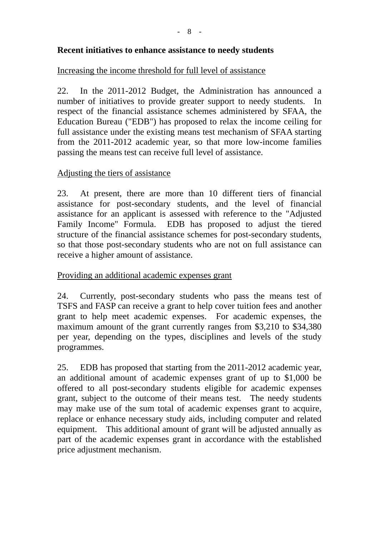#### **Recent initiatives to enhance assistance to needy students**

#### Increasing the income threshold for full level of assistance

22. In the 2011-2012 Budget, the Administration has announced a number of initiatives to provide greater support to needy students. In respect of the financial assistance schemes administered by SFAA, the Education Bureau ("EDB") has proposed to relax the income ceiling for full assistance under the existing means test mechanism of SFAA starting from the 2011-2012 academic year, so that more low-income families passing the means test can receive full level of assistance.

#### Adjusting the tiers of assistance

23. At present, there are more than 10 different tiers of financial assistance for post-secondary students, and the level of financial assistance for an applicant is assessed with reference to the "Adjusted Family Income" Formula. EDB has proposed to adjust the tiered structure of the financial assistance schemes for post-secondary students, so that those post-secondary students who are not on full assistance can receive a higher amount of assistance.

#### Providing an additional academic expenses grant

24. Currently, post-secondary students who pass the means test of TSFS and FASP can receive a grant to help cover tuition fees and another grant to help meet academic expenses. For academic expenses, the maximum amount of the grant currently ranges from \$3,210 to \$34,380 per year, depending on the types, disciplines and levels of the study programmes.

25. EDB has proposed that starting from the 2011-2012 academic year, an additional amount of academic expenses grant of up to \$1,000 be offered to all post-secondary students eligible for academic expenses grant, subject to the outcome of their means test. The needy students may make use of the sum total of academic expenses grant to acquire, replace or enhance necessary study aids, including computer and related equipment. This additional amount of grant will be adjusted annually as part of the academic expenses grant in accordance with the established price adjustment mechanism.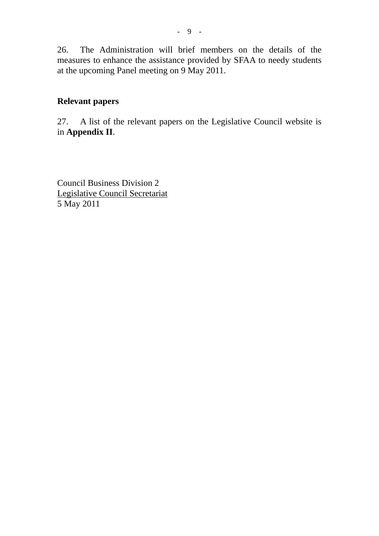26. The Administration will brief members on the details of the measures to enhance the assistance provided by SFAA to needy students at the upcoming Panel meeting on 9 May 2011.

#### **Relevant papers**

27. A list of the relevant papers on the Legislative Council website is in **Appendix II**.

Council Business Division 2 Legislative Council Secretariat 5 May 2011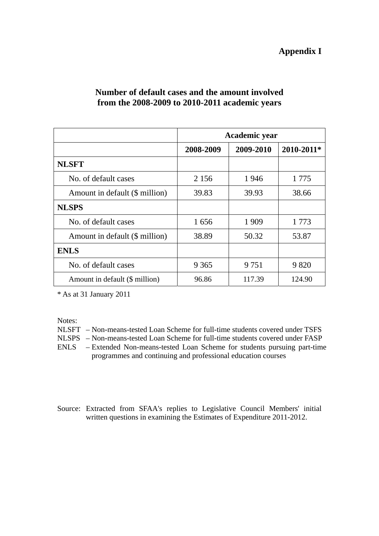#### **Appendix I**

|                                | Academic year |           |            |
|--------------------------------|---------------|-----------|------------|
|                                | 2008-2009     | 2009-2010 | 2010-2011* |
| <b>NLSFT</b>                   |               |           |            |
| No. of default cases           | 2 1 5 6       | 1946      | 1 7 7 5    |
| Amount in default (\$ million) | 39.83         | 39.93     | 38.66      |
| <b>NLSPS</b>                   |               |           |            |
| No. of default cases           | 1656          | 1 9 0 9   | 1 7 7 3    |
| Amount in default (\$ million) | 38.89         | 50.32     | 53.87      |
| <b>ENLS</b>                    |               |           |            |
| No. of default cases           | 9 3 6 5       | 9 7 5 1   | 9 8 20     |
| Amount in default (\$ million) | 96.86         | 117.39    | 124.90     |

#### **Number of default cases and the amount involved from the 2008-2009 to 2010-2011 academic years**

\* As at 31 January 2011

Notes:

NLSFT – Non-means-tested Loan Scheme for full-time students covered under TSFS

NLSPS – Non-means-tested Loan Scheme for full-time students covered under FASP

ENLS – Extended Non-means-tested Loan Scheme for students pursuing part-time programmes and continuing and professional education courses

Source: Extracted from SFAA's replies to Legislative Council Members' initial written questions in examining the Estimates of Expenditure 2011-2012.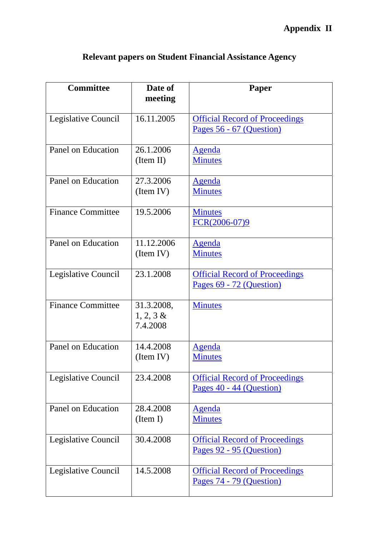| <b>Committee</b>          | Date of<br>meeting                     | Paper                                                             |
|---------------------------|----------------------------------------|-------------------------------------------------------------------|
| Legislative Council       | 16.11.2005                             | <b>Official Record of Proceedings</b><br>Pages 56 - 67 (Question) |
| Panel on Education        | 26.1.2006<br>(Item II)                 | <u>Agenda</u><br><b>Minutes</b>                                   |
| Panel on Education        | 27.3.2006<br>(Item IV)                 | <u>Agenda</u><br><b>Minutes</b>                                   |
| <b>Finance Committee</b>  | 19.5.2006                              | <b>Minutes</b><br>$FCR(2006-07)9$                                 |
| <b>Panel on Education</b> | 11.12.2006<br>(Item IV)                | <u>Agenda</u><br><b>Minutes</b>                                   |
| Legislative Council       | 23.1.2008                              | <b>Official Record of Proceedings</b><br>Pages 69 - 72 (Question) |
| <b>Finance Committee</b>  | 31.3.2008,<br>$1, 2, 3 \&$<br>7.4.2008 | <b>Minutes</b>                                                    |
| Panel on Education        | 14.4.2008<br>(Item IV)                 | <b>Agenda</b><br><b>Minutes</b>                                   |
| Legislative Council       | 23.4.2008                              | <b>Official Record of Proceedings</b><br>Pages 40 - 44 (Question) |
| Panel on Education        | 28.4.2008<br>(Item I)                  | <b>Agenda</b><br><b>Minutes</b>                                   |
| Legislative Council       | 30.4.2008                              | <b>Official Record of Proceedings</b><br>Pages 92 - 95 (Question) |
| Legislative Council       | 14.5.2008                              | <b>Official Record of Proceedings</b><br>Pages 74 - 79 (Question) |

# **Relevant papers on Student Financial Assistance Agency**